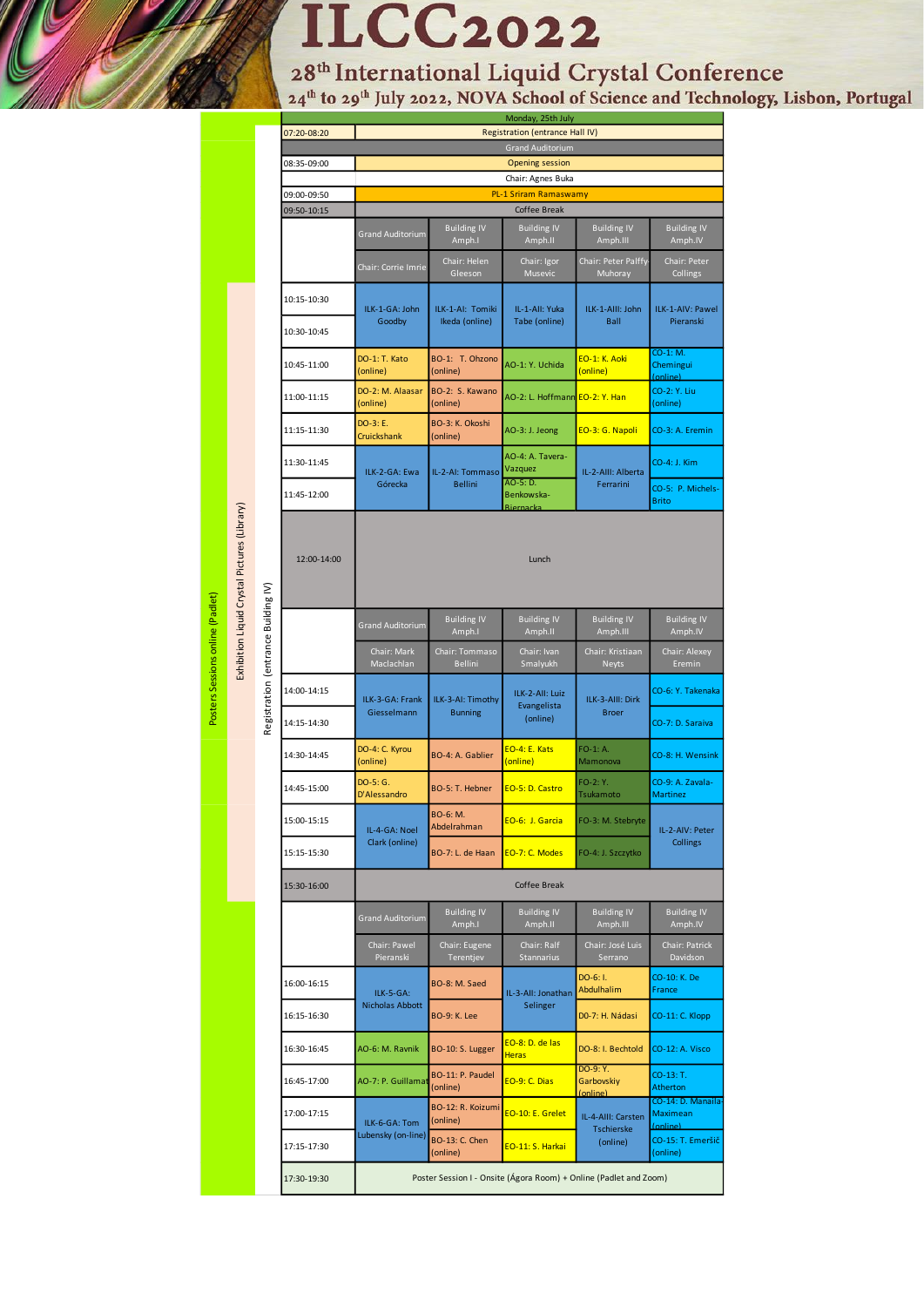# **ILCC2022**

28<sup>th</sup> International Liquid Crystal Conference<br><sup>24th</sup> to 29<sup>th</sup> July 2022, NOVA School of Science and Technology, Lisbon, Portugal

|                                     | 07:20-08:20                | Monday, 25th July<br>Registration (entrance Hall IV)              |                                     |                                            |                                    |                                                  |
|-------------------------------------|----------------------------|-------------------------------------------------------------------|-------------------------------------|--------------------------------------------|------------------------------------|--------------------------------------------------|
|                                     |                            | <b>Grand Auditorium</b>                                           |                                     |                                            |                                    |                                                  |
|                                     | 08:35-09:00                | <b>Opening session</b>                                            |                                     |                                            |                                    |                                                  |
|                                     |                            | Chair: Agnes Buka                                                 |                                     |                                            |                                    |                                                  |
|                                     | 09:00-09:50                | <b>PL-1 Sriram Ramaswamy</b>                                      |                                     |                                            |                                    |                                                  |
|                                     | 09:50-10:15                | Coffee Break                                                      |                                     |                                            |                                    |                                                  |
|                                     |                            | <b>Grand Auditorium</b>                                           | <b>Building IV</b><br>Amph.I        | <b>Building IV</b><br>Amph.II              | <b>Building IV</b><br>Amph.III     | <b>Building IV</b><br>Amph.IV                    |
|                                     |                            | Chair: Corrie Imrie                                               | Chair: Helen<br>Gleeson             | Chair: Igor<br>Musevic                     | Chair: Peter Palffy<br>Muhoray     | Chair: Peter<br>Collings                         |
|                                     | 10:15-10:30<br>10:30-10:45 | ILK-1-GA: John<br>Goodby                                          | ILK-1-AI: Tomiki<br>Ikeda (online)  | IL-1-All: Yuka<br>Tabe (online)            | ILK-1-AIII: John<br><b>Ball</b>    | ILK-1-AIV: Pawel<br>Pieranski                    |
|                                     | 10:45-11:00                | DO-1: T. Kato<br>(online)                                         | BO-1: T. Ohzono<br>(online)         | AO-1: Y. Uchida                            | EO-1: K. Aoki<br>(online)          | CO-1: M.<br>Chemingui                            |
|                                     | 11:00-11:15                | DO-2: M. Alaasar<br>(online)                                      | BO-2: S. Kawano<br>(online)         | AO-2: L. Hoffmann EO-2: Y. Han             |                                    | (online)<br>CO-2: Y. Liu<br>(online)             |
|                                     | 11:15-11:30                | DO-3: E.<br>Cruickshank                                           | BO-3: K. Okoshi<br>(online)         | AO-3: J. Jeong                             | EO-3: G. Napoli                    | CO-3: A. Eremin                                  |
|                                     | 11:30-11:45                | ILK-2-GA: Ewa<br>Górecka                                          | IL-2-AI: Tommaso<br><b>Bellini</b>  | AO-4: A. Tavera-<br>Vazquez                | IL-2-AIII: Alberta<br>Ferrarini    | CO-4: J. Kim                                     |
|                                     | 11:45-12:00                |                                                                   |                                     | AO-5: D.<br>Benkowska-<br><b>Biernacka</b> |                                    | CO-5: P. Michels-<br><b>Brito</b>                |
|                                     | 12:00-14:00                | Lunch                                                             |                                     |                                            |                                    |                                                  |
| Registration (entrance Building IV) |                            | <b>Grand Auditorium</b>                                           | <b>Building IV</b><br>Amph.I        | <b>Building IV</b><br>Amph.II              | <b>Building IV</b><br>Amph.III     | <b>Building IV</b><br>Amph.IV                    |
|                                     |                            | Chair: Mark<br>Maclachlan                                         | Chair: Tommaso<br><b>Bellini</b>    | Chair: Ivan<br>Smalyukh                    | Chair: Kristiaan<br><b>Neyts</b>   | Chair: Alexey<br>Eremin                          |
|                                     | 14:00-14:15                | ILK-3-GA: Frank<br>Giesselmann                                    | ILK-3-AI: Timothy<br><b>Bunning</b> | ILK-2-All: Luiz<br>Evangelista<br>(online) | ILK-3-AIII: Dirk<br><b>Broer</b>   | CO-6: Y. Takenaka                                |
|                                     | 14:15-14:30                |                                                                   |                                     |                                            |                                    | CO-7: D. Saraiva                                 |
|                                     | 14:30-14:45                | DO-4: C. Kyrou<br>(online)                                        | BO-4: A. Gablier                    | EO-4: E. Kats<br>(online)                  | $FO-1: A.$<br>Mamonova             | CO-8: H. Wensink                                 |
|                                     | 14:45-15:00                | DO-5: G.<br>D'Alessandro                                          | BO-5: T. Hebner                     | EO-5: D. Castro                            | FO-2: Y.<br>Tsukamoto              | CO-9: A. Zavala-<br><b>Martinez</b>              |
|                                     | 15:00-15:15                | IL-4-GA: Noel<br>Clark (online)                                   | BO-6: M.<br>Abdelrahman             | EO-6: J. Garcia                            | FO-3: M. Stebryte                  | IL-2-AIV: Peter                                  |
|                                     | 15:15-15:30                |                                                                   | BO-7: L. de Haan                    | EO-7: C. Modes                             | FO-4: J. Szczytko                  | Collings                                         |
|                                     | 15:30-16:00                | Coffee Break                                                      |                                     |                                            |                                    |                                                  |
|                                     |                            | <b>Grand Auditorium</b>                                           | <b>Building IV</b><br>Amph.I        | <b>Building IV</b><br>Amph.II              | <b>Building IV</b><br>Amph.III     | <b>Building IV</b><br>Amph.IV                    |
|                                     |                            | Chair: Pawel<br>Pieranski                                         | Chair: Eugene<br>Terentjev          | Chair: Ralf<br><b>Stannarius</b>           | Chair: José Luis<br>Serrano        | Chair: Patrick<br>Davidson                       |
|                                     | 16:00-16:15                | ILK-5-GA:<br>Nicholas Abbott                                      | BO-8: M. Saed                       | IL-3-All: Jonathan<br>Selinger             | DO-6: I.<br>Abdulhalim             | CO-10: K. De<br>France                           |
|                                     | 16:15-16:30                |                                                                   | <b>BO-9: K. Lee</b>                 |                                            | DO-7: H. Nádasi                    | CO-11: C. Klopp                                  |
|                                     | 16:30-16:45                | AO-6: M. Ravnik                                                   | BO-10: S. Lugger                    | EO-8: D. de las<br><b>Heras</b>            | DO-8: I. Bechtold                  | CO-12: A. Visco                                  |
|                                     | 16:45-17:00                | AO-7: P. Guillamat                                                | BO-11: P. Paudel<br>(online)        | EO-9: C. Dias                              | DO-9: Y.<br>Garbovskiy<br>(online) | CO-13: T.<br>Atherton                            |
|                                     | 17:00-17:15                | ILK-6-GA: Tom                                                     | BO-12: R. Koizumi<br>(online)       | EO-10: E. Grelet                           | IL-4-AIII: Carsten<br>Tschierske   | CO-14: D. Manaila<br><b>Maximean</b><br>(online) |
|                                     | 17:15-17:30                | Lubensky (on-line)                                                | <b>BO-13: C. Chen</b><br>(online)   | EO-11: S. Harkai                           | (online)                           | CO-15: T. Emeršič<br>(online)                    |
|                                     | 17:30-19:30                | Poster Session I - Onsite (Ágora Room) + Online (Padlet and Zoom) |                                     |                                            |                                    |                                                  |

Exhibition Liquid Crystal Pictures (Library) Exhibition Liquid Crystal Pictures(Library)

Posters Sessions online (Padlet) Posters Sessions online (Padlet)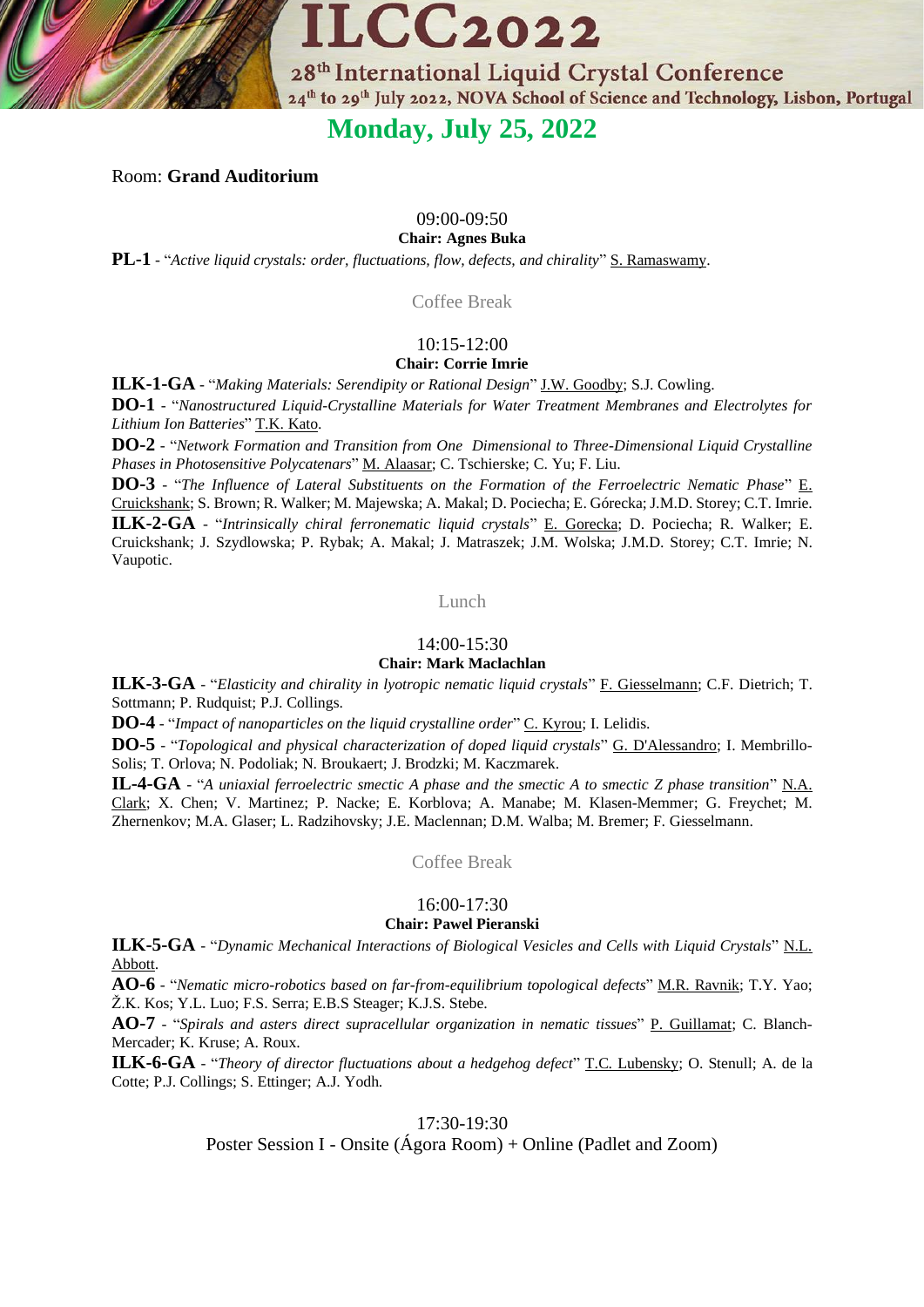

# **Monday, July 25, 2022**

Room: **Grand Auditorium**

# 09:00-09:50

**Chair: Agnes Buka**

**PL-1** - "*Active liquid crystals: order, fluctuations, flow, defects, and chirality*" S. Ramaswamy.

Coffee Break

## 10:15-12:00 **Chair: Corrie Imrie**

**ILK-1-GA** - "*Making Materials: Serendipity or Rational Design*" J.W. Goodby; S.J. Cowling. **DO-1** - "*Nanostructured Liquid-Crystalline Materials for Water Treatment Membranes and Electrolytes for* 

*Lithium Ion Batteries*" T.K. Kato.

**DO-2** - "*Network Formation and Transition from One Dimensional to Three-Dimensional Liquid Crystalline Phases in Photosensitive Polycatenars*" M. Alaasar; C. Tschierske; C. Yu; F. Liu.

**DO-3** - "*The Influence of Lateral Substituents on the Formation of the Ferroelectric Nematic Phase*" E. Cruickshank; S. Brown; R. Walker; M. Majewska; A. Makal; D. Pociecha; E. Górecka; J.M.D. Storey; C.T. Imrie. **ILK-2-GA** - "*Intrinsically chiral ferronematic liquid crystals*" E. Gorecka; D. Pociecha; R. Walker; E. Cruickshank; J. Szydlowska; P. Rybak; A. Makal; J. Matraszek; J.M. Wolska; J.M.D. Storey; C.T. Imrie; N. Vaupotic.

Lunch

# 14:00-15:30

# **Chair: Mark Maclachlan**

**ILK-3-GA** - "*Elasticity and chirality in lyotropic nematic liquid crystals*" F. Giesselmann; C.F. Dietrich; T. Sottmann; P. Rudquist; P.J. Collings.

**DO-4** - "*Impact of nanoparticles on the liquid crystalline order*" C. Kyrou; I. Lelidis.

**DO-5** - "*Topological and physical characterization of doped liquid crystals*" G. D'Alessandro; I. Membrillo-Solis; T. Orlova; N. Podoliak; N. Broukaert; J. Brodzki; M. Kaczmarek.

**IL-4-GA** - "*A uniaxial ferroelectric smectic A phase and the smectic A to smectic Z phase transition*" N.A. Clark; X. Chen; V. Martinez; P. Nacke; E. Korblova; A. Manabe; M. Klasen-Memmer; G. Freychet; M. Zhernenkov; M.A. Glaser; L. Radzihovsky; J.E. Maclennan; D.M. Walba; M. Bremer; F. Giesselmann.

Coffee Break

# 16:00-17:30

# **Chair: Pawel Pieranski**

**ILK-5-GA** - "*Dynamic Mechanical Interactions of Biological Vesicles and Cells with Liquid Crystals*" N.L. Abbott.

**AO-6** - "*Nematic micro-robotics based on far-from-equilibrium topological defects*" M.R. Ravnik; T.Y. Yao; Ž.K. Kos; Y.L. Luo; F.S. Serra; E.B.S Steager; K.J.S. Stebe.

**AO-7** - "*Spirals and asters direct supracellular organization in nematic tissues*" P. Guillamat; C. Blanch-Mercader; K. Kruse; A. Roux.

**ILK-6-GA** - "*Theory of director fluctuations about a hedgehog defect*" T.C. Lubensky; O. Stenull; A. de la Cotte; P.J. Collings; S. Ettinger; A.J. Yodh.

17:30-19:30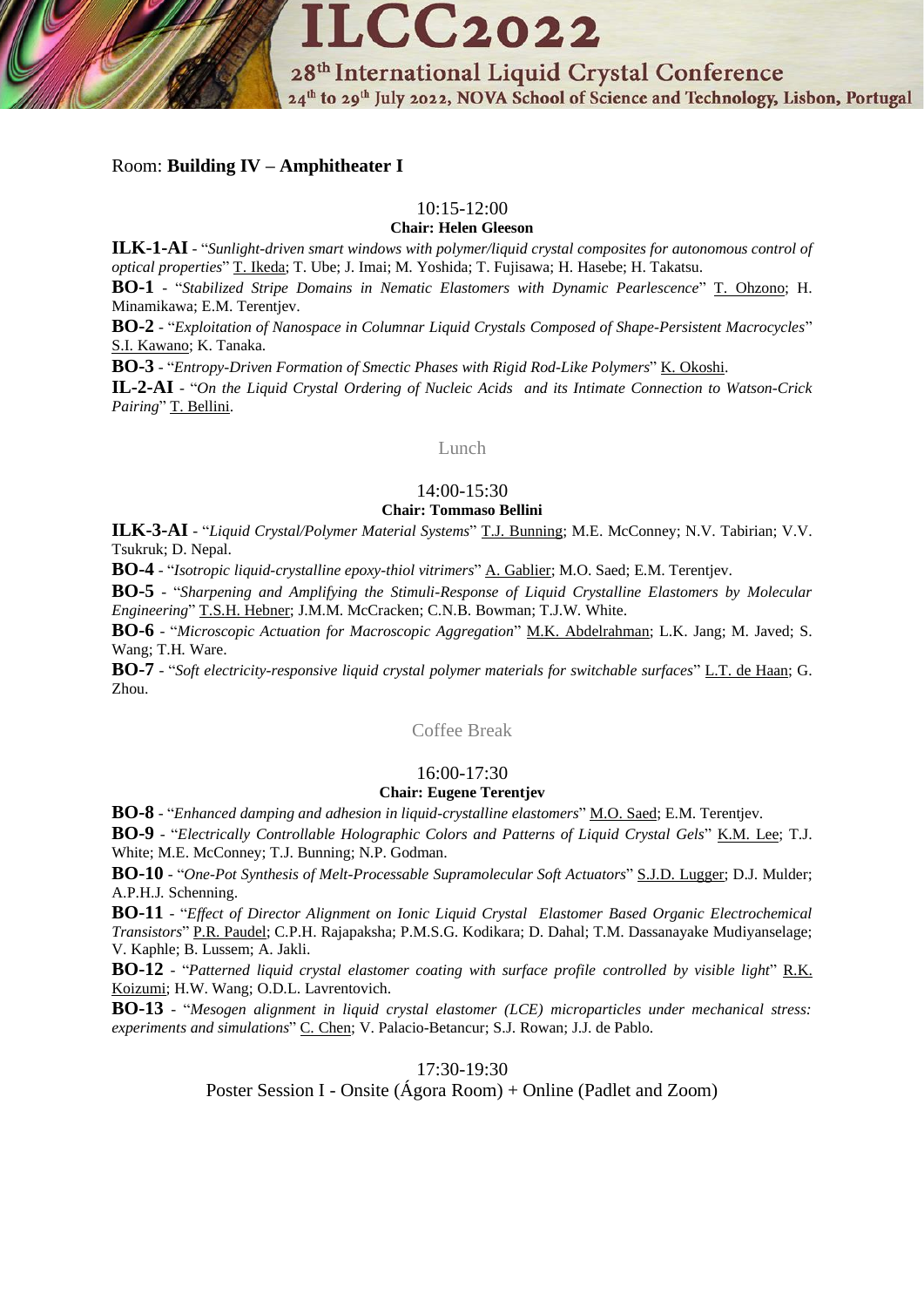

# Room: **Building IV – Amphitheater I**

# 10:15-12:00

**Chair: Helen Gleeson**

**ILK-1-AI** - "*Sunlight-driven smart windows with polymer/liquid crystal composites for autonomous control of optical properties*" T. Ikeda; T. Ube; J. Imai; M. Yoshida; T. Fujisawa; H. Hasebe; H. Takatsu. **BO-1** - "*Stabilized Stripe Domains in Nematic Elastomers with Dynamic Pearlescence*" T. Ohzono; H. Minamikawa; E.M. Terentjev.

**BO-2** - "*Exploitation of Nanospace in Columnar Liquid Crystals Composed of Shape-Persistent Macrocycles*" S.I. Kawano; K. Tanaka.

**BO-3** - "*Entropy-Driven Formation of Smectic Phases with Rigid Rod-Like Polymers*" K. Okoshi.

**IL-2-AI** - "*On the Liquid Crystal Ordering of Nucleic Acids and its Intimate Connection to Watson-Crick Pairing*" T. Bellini.

#### Lunch

# 14:00-15:30

# **Chair: Tommaso Bellini**

**ILK-3-AI** - "*Liquid Crystal/Polymer Material Systems*" T.J. Bunning; M.E. McConney; N.V. Tabirian; V.V. Tsukruk; D. Nepal.

**BO-4** - "*Isotropic liquid-crystalline epoxy-thiol vitrimers*" A. Gablier; M.O. Saed; E.M. Terentjev.

**BO-5** - "*Sharpening and Amplifying the Stimuli-Response of Liquid Crystalline Elastomers by Molecular Engineering*" T.S.H. Hebner; J.M.M. McCracken; C.N.B. Bowman; T.J.W. White.

**BO-6** - "*Microscopic Actuation for Macroscopic Aggregation*" M.K. Abdelrahman; L.K. Jang; M. Javed; S. Wang; T.H. Ware.

**BO-7** - "*Soft electricity-responsive liquid crystal polymer materials for switchable surfaces*" L.T. de Haan; G. Zhou.

Coffee Break

# 16:00-17:30

# **Chair: Eugene Terentjev**

**BO-8** - "*Enhanced damping and adhesion in liquid-crystalline elastomers*" M.O. Saed; E.M. Terentjev.

**BO-9** - "*Electrically Controllable Holographic Colors and Patterns of Liquid Crystal Gels*" K.M. Lee; T.J. White; M.E. McConney; T.J. Bunning; N.P. Godman.

**BO-10** - "*One-Pot Synthesis of Melt-Processable Supramolecular Soft Actuators*" S.J.D. Lugger; D.J. Mulder; A.P.H.J. Schenning.

**BO-11** - "*Effect of Director Alignment on Ionic Liquid Crystal Elastomer Based Organic Electrochemical Transistors*" P.R. Paudel; C.P.H. Rajapaksha; P.M.S.G. Kodikara; D. Dahal; T.M. Dassanayake Mudiyanselage; V. Kaphle; B. Lussem; A. Jakli.

**BO-12** - "*Patterned liquid crystal elastomer coating with surface profile controlled by visible light*" R.K. Koizumi; H.W. Wang; O.D.L. Lavrentovich.

**BO-13** - "*Mesogen alignment in liquid crystal elastomer (LCE) microparticles under mechanical stress: experiments and simulations*" C. Chen; V. Palacio-Betancur; S.J. Rowan; J.J. de Pablo.

17:30-19:30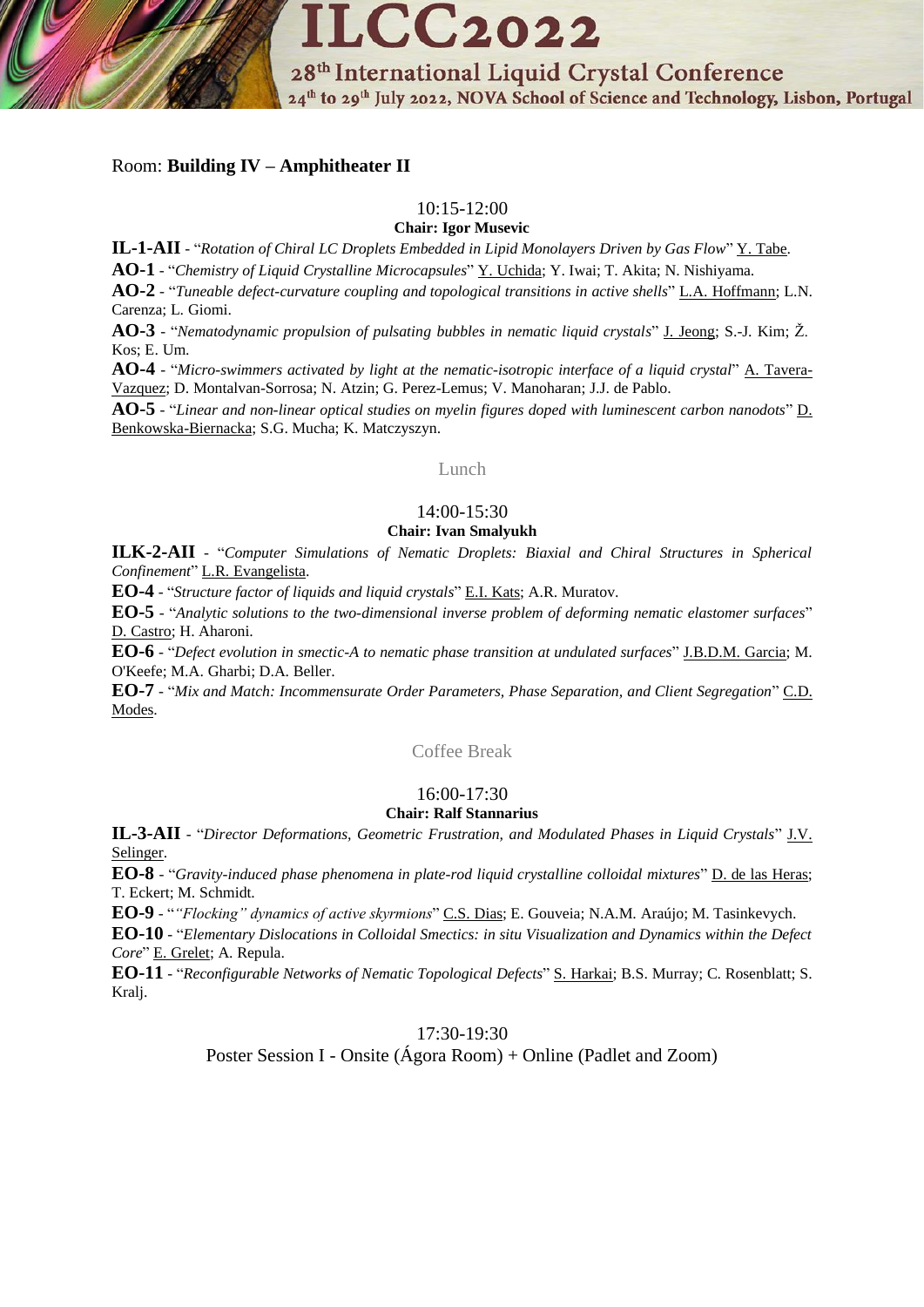

# Room: **Building IV – Amphitheater II**

# 10:15-12:00

**Chair: Igor Musevic**

**IL-1-AII** - "*Rotation of Chiral LC Droplets Embedded in Lipid Monolayers Driven by Gas Flow*" Y. Tabe.

**AO-1** - "*Chemistry of Liquid Crystalline Microcapsules*" Y. Uchida; Y. Iwai; T. Akita; N. Nishiyama.

**AO-2** - "*Tuneable defect-curvature coupling and topological transitions in active shells*" L.A. Hoffmann; L.N. Carenza; L. Giomi.

**AO-3** - "*Nematodynamic propulsion of pulsating bubbles in nematic liquid crystals*" J. Jeong; S.-J. Kim; Ž. Kos; E. Um.

**AO-4** - "*Micro-swimmers activated by light at the nematic-isotropic interface of a liquid crystal*" A. Tavera-Vazquez; D. Montalvan-Sorrosa; N. Atzin; G. Perez-Lemus; V. Manoharan; J.J. de Pablo.

**AO-5** - "*Linear and non-linear optical studies on myelin figures doped with luminescent carbon nanodots*" D. Benkowska-Biernacka; S.G. Mucha; K. Matczyszyn.

#### Lunch

# 14:00-15:30

#### **Chair: Ivan Smalyukh**

**ILK-2-AII** - "*Computer Simulations of Nematic Droplets: Biaxial and Chiral Structures in Spherical Confinement*" L.R. Evangelista.

**EO-4** - "*Structure factor of liquids and liquid crystals*" E.I. Kats; A.R. Muratov.

**EO-5** - "*Analytic solutions to the two-dimensional inverse problem of deforming nematic elastomer surfaces*" D. Castro; H. Aharoni.

**EO-6** - "*Defect evolution in smectic-A to nematic phase transition at undulated surfaces*" J.B.D.M. Garcia; M. O'Keefe; M.A. Gharbi; D.A. Beller.

**EO-7** - "*Mix and Match: Incommensurate Order Parameters, Phase Separation, and Client Segregation*" C.D. Modes.

Coffee Break

# 16:00-17:30

#### **Chair: Ralf Stannarius**

**IL-3-AII** - "*Director Deformations, Geometric Frustration, and Modulated Phases in Liquid Crystals*" J.V. Selinger.

**EO-8** - "*Gravity-induced phase phenomena in plate-rod liquid crystalline colloidal mixtures*" D. de las Heras; T. Eckert; M. Schmidt.

**EO-9** - "*"Flocking" dynamics of active skyrmions*" C.S. Dias; E. Gouveia; N.A.M. Araújo; M. Tasinkevych.

**EO-10** - "*Elementary Dislocations in Colloidal Smectics: in situ Visualization and Dynamics within the Defect Core*" E. Grelet; A. Repula.

**EO-11** - "*Reconfigurable Networks of Nematic Topological Defects*" S. Harkai; B.S. Murray; C. Rosenblatt; S. Kralj.

17:30-19:30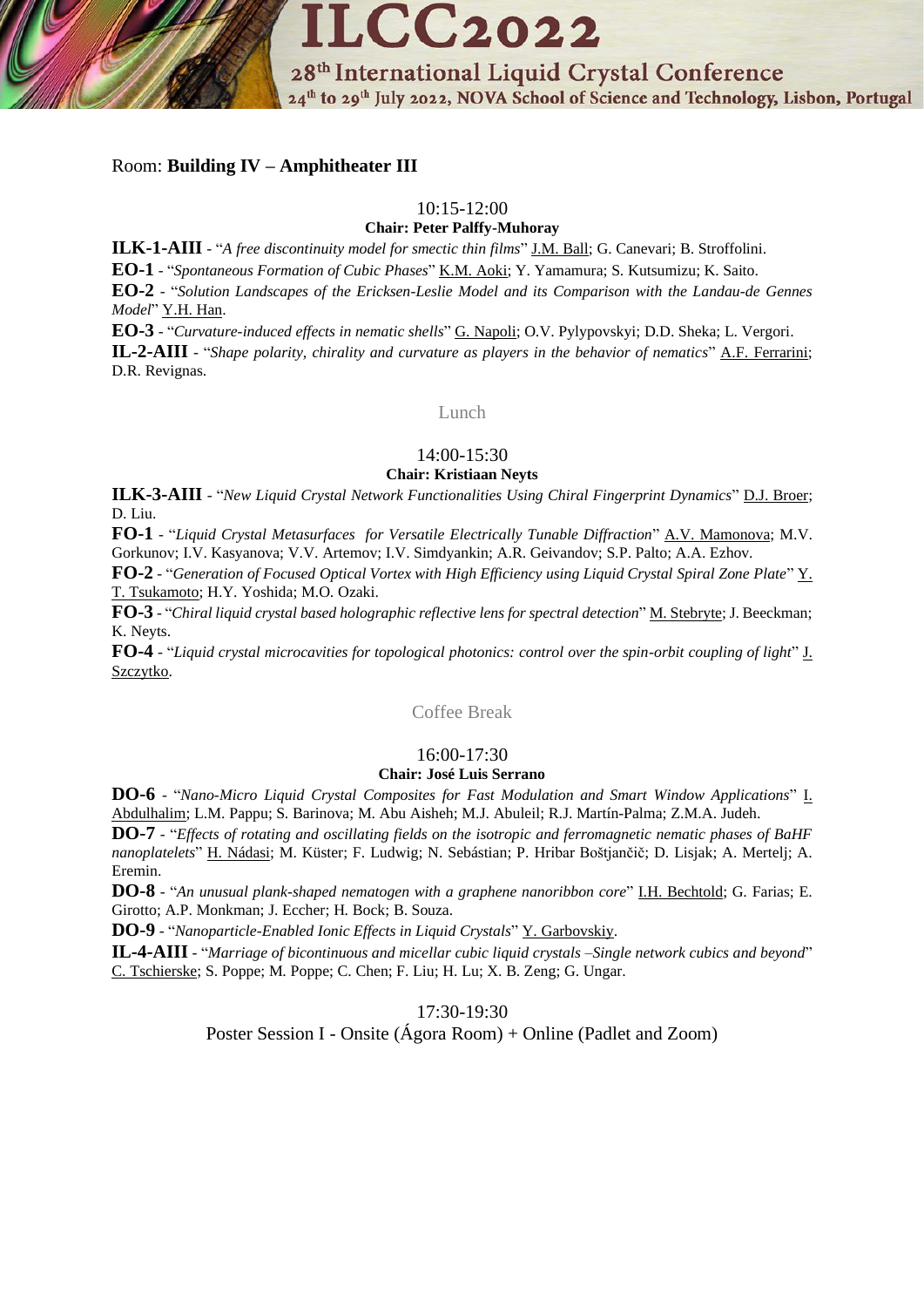

# Room: **Building IV – Amphitheater III**

# 10:15-12:00

**Chair: Peter Palffy-Muhoray**

**ILK-1-AIII** - "*A free discontinuity model for smectic thin films*" J.M. Ball; G. Canevari; B. Stroffolini.

**EO-1** - "*Spontaneous Formation of Cubic Phases*" K.M. Aoki; Y. Yamamura; S. Kutsumizu; K. Saito.

**EO-2** - "*Solution Landscapes of the Ericksen-Leslie Model and its Comparison with the Landau-de Gennes Model*" Y.H. Han.

**EO-3** - "*Curvature-induced effects in nematic shells*" G. Napoli; O.V. Pylypovskyi; D.D. Sheka; L. Vergori.

**IL-2-AIII** - "*Shape polarity, chirality and curvature as players in the behavior of nematics*" A.F. Ferrarini; D.R. Revignas.

Lunch

# 14:00-15:30

# **Chair: Kristiaan Neyts**

**ILK-3-AIII** - "*New Liquid Crystal Network Functionalities Using Chiral Fingerprint Dynamics*" D.J. Broer; D. Liu.

**FO-1** - "*Liquid Crystal Metasurfaces for Versatile Electrically Tunable Diffraction*" A.V. Mamonova; M.V. Gorkunov; I.V. Kasyanova; V.V. Artemov; I.V. Simdyankin; A.R. Geivandov; S.P. Palto; A.A. Ezhov.

**FO-2** - "*Generation of Focused Optical Vortex with High Efficiency using Liquid Crystal Spiral Zone Plate*" Y. T. Tsukamoto; H.Y. Yoshida; M.O. Ozaki.

**FO-3** - "*Chiral liquid crystal based holographic reflective lens for spectral detection*" M. Stebryte; J. Beeckman; K. Neyts.

**FO-4** - "*Liquid crystal microcavities for topological photonics: control over the spin-orbit coupling of light*" J. Szczytko.

Coffee Break

# 16:00-17:30

# **Chair: José Luis Serrano**

**DO-6** - "*Nano-Micro Liquid Crystal Composites for Fast Modulation and Smart Window Applications*" I. Abdulhalim; L.M. Pappu; S. Barinova; M. Abu Aisheh; M.J. Abuleil; R.J. Martín-Palma; Z.M.A. Judeh.

**DO-7** - "*Effects of rotating and oscillating fields on the isotropic and ferromagnetic nematic phases of BaHF nanoplatelets*" H. Nádasi; M. Küster; F. Ludwig; N. Sebástian; P. Hribar Boštjančič; D. Lisjak; A. Mertelj; A. Eremin.

**DO-8** - "*An unusual plank-shaped nematogen with a graphene nanoribbon core*" I.H. Bechtold; G. Farias; E. Girotto; A.P. Monkman; J. Eccher; H. Bock; B. Souza.

**DO-9** - "*Nanoparticle-Enabled Ionic Effects in Liquid Crystals*" Y. Garbovskiy.

**IL-4-AIII** - "*Marriage of bicontinuous and micellar cubic liquid crystals –Single network cubics and beyond*" C. Tschierske; S. Poppe; M. Poppe; C. Chen; F. Liu; H. Lu; X. B. Zeng; G. Ungar.

17:30-19:30